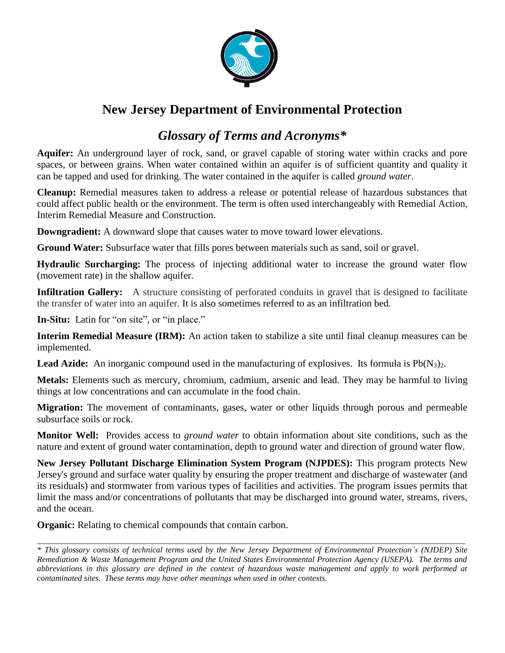

## **New Jersey Department of Environmental Protection**

## *Glossary of Terms and Acronyms\**

**Aquifer:** An underground layer of rock, sand, or gravel capable of storing water within cracks and pore spaces, or between grains. When water contained within an aquifer is of sufficient quantity and quality it can be tapped and used for drinking. The water contained in the aquifer is called *ground water*.

**Cleanup:** Remedial measures taken to address a release or potential release of hazardous substances that could affect public health or the environment. The term is often used interchangeably with Remedial Action, Interim Remedial Measure and Construction.

**Downgradient:** A downward slope that causes water to move toward lower elevations.

**Ground Water:** Subsurface water that fills pores between materials such as sand, soil or gravel.

**Hydraulic Surcharging:** The process of injecting additional water to increase the ground water flow (movement rate) in the shallow aquifer.

**Infiltration Gallery:** A structure consisting of perforated conduits in gravel that is designed to facilitate the transfer of water into an aquifer. It is also sometimes referred to as an infiltration bed.

**In-Situ:** Latin for "on site", or "in place."

**Interim Remedial Measure (IRM):** An action taken to stabilize a site until final cleanup measures can be implemented.

**Lead Azide:** An inorganic compound used in the manufacturing of explosives. Its formula is  $Pb(N_3)_2$ .

**Metals:** Elements such as mercury, chromium, cadmium, arsenic and lead. They may be harmful to living things at low concentrations and can accumulate in the food chain.

**Migration:** The movement of contaminants, gases, water or other liquids through porous and permeable subsurface soils or rock.

**Monitor Well:** Provides access to *ground water* to obtain information about site conditions, such as the nature and extent of ground water contamination, depth to ground water and direction of ground water flow.

**New Jersey Pollutant Discharge Elimination System Program (NJPDES):** This program protects New Jersey's ground and surface water quality by ensuring the proper treatment and discharge of wastewater (and its residuals) and stormwater from various types of facilities and activities. The program issues permits that limit the mass and/or concentrations of pollutants that may be discharged into ground water, streams, rivers, and the ocean.

**Organic:** Relating to chemical compounds that contain carbon.

*\_\_\_\_\_\_\_\_\_\_\_\_\_\_\_\_\_\_\_\_\_\_\_\_\_\_\_\_\_\_\_\_\_\_\_\_\_\_\_\_\_\_\_\_\_\_\_\_\_\_\_\_\_\_\_\_\_\_\_\_\_\_\_\_\_\_\_\_\_\_\_\_\_\_\_\_\_\_\_\_\_\_\_\_\_\_\_\_\_\_\_\_\_\_\_\_\_\_\_\_\_\_\_\_*

*<sup>\*</sup> This glossary consists of technical terms used by the New Jersey Department of Environmental Protection's (NJDEP) Site Remediation & Waste Management Program and the United States Environmental Protection Agency (USEPA). The terms and abbreviations in this glossary are defined in the context of hazardous waste management and apply to work performed at contaminated sites. These terms may have other meanings when used in other contexts.*